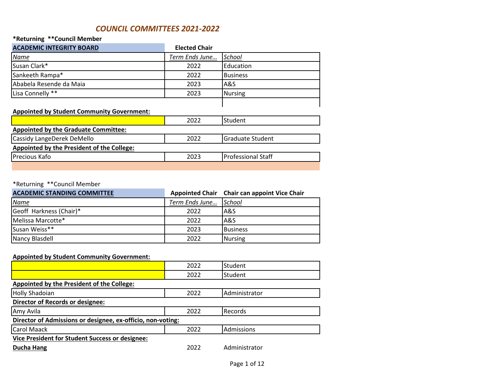## *COUNCIL COMMITTEES 2021-2022*

### **\*Returning \*\*Council Member**

| <b>ACADEMIC INTEGRITY BOARD</b> | <b>Elected Chair</b> |                 |
|---------------------------------|----------------------|-----------------|
| <u>Name</u>                     | Term Ends June       | School          |
| Susan Clark*                    | 2022                 | Education       |
| Sankeeth Rampa*                 | 2022                 | <b>Business</b> |
| Ababela Resende da Maia         | 2023                 | la&S            |
| Lisa Connelly **                | 2023                 | <b>Nursing</b>  |
|                                 |                      |                 |

### **Appointed by Student Community Government:**

|                                                   | 2022 | lStudent.                 |
|---------------------------------------------------|------|---------------------------|
| <b>Appointed by the Graduate Committee:</b>       |      |                           |
| Cassidy LangeDerek DeMello                        | 2022 | <b>IGraduate Student</b>  |
| <b>Appointed by the President of the College:</b> |      |                           |
| <b>IPrecious Kafo</b>                             | 2023 | <b>Professional Staff</b> |
|                                                   |      |                           |

### \*Returning \*\*Council Member

| <b>ACADEMIC STANDING COMMITTEE</b> |                | Appointed Chair Chair can appoint Vice Chair |
|------------------------------------|----------------|----------------------------------------------|
| <b>Name</b>                        | Term Ends June | School                                       |
| Geoff Harkness (Chair)*            | 2022           | <b>A&amp;S</b>                               |
| Melissa Marcotte*                  | 2022           | A&S                                          |
| Susan Weiss**                      | 2023           | <b>Business</b>                              |
| Nancy Blasdell                     | 2022           | Nursing                                      |

### **Appointed by Student Community Government:**

|                                                             | 2022 | Student           |  |
|-------------------------------------------------------------|------|-------------------|--|
|                                                             | 2022 | Student           |  |
| Appointed by the President of the College:                  |      |                   |  |
| <b>Holly Shadoian</b>                                       | 2022 | Administrator     |  |
| <b>Director of Records or designee:</b>                     |      |                   |  |
| Amy Avila                                                   | 2022 | Records           |  |
| Director of Admissions or designee, ex-officio, non-voting: |      |                   |  |
| <b>Carol Maack</b>                                          | 2022 | <b>Admissions</b> |  |
| Vice President for Student Success or designee:             |      |                   |  |
| <b>Ducha Hang</b>                                           | 2022 | Administrator     |  |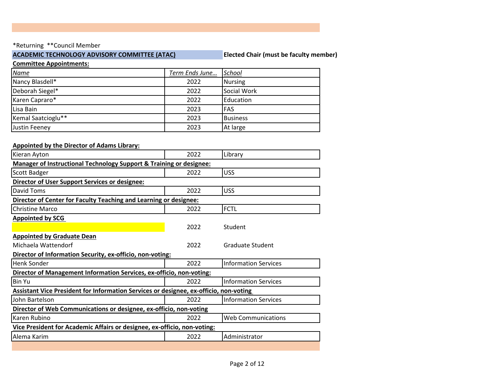### **ACADEMIC TECHNOLOGY ADVISORY COMMITTEE (ATAC) Elected Chair (must be faculty member)**

#### **Committee Appointments:**

| <b>Name</b>        | Term Ends June | School          |
|--------------------|----------------|-----------------|
| Nancy Blasdell*    | 2022           | <b>Nursing</b>  |
| Deborah Siegel*    | 2022           | Social Work     |
| Karen Capraro*     | 2022           | Education       |
| Lisa Bain          | 2023           | <b>FAS</b>      |
| Kemal Saatcioglu** | 2023           | <b>Business</b> |
| Justin Feeney      | 2023           | At large        |

## **Appointed by the Director of Adams Library:** Kieran Ayton 2022 Library **Manager of Instructional Technology Support & Training or designee:** Scott Badger 2022 USS **Director of User Support Services or designee:** David Toms 2022 USS **Director of Center for Faculty Teaching and Learning or designee:** Christine Marco 2022 FCTL **Appointed by SCG**  2022 Student **Appointed by Graduate Dean** Michaela Wattendorf 2022 Graduate Student **Director of Information Security, ex-officio, non-voting:** Henk Sonder 2022 Information Services **Director of Management Information Services, ex-officio, non-voting:** Bin Yu 2022 Information Services **Assistant Vice President for Information Services or designee, ex-officio, non-voting**  John Bartelson 2022 Information Services **Director of Web Communications or designee, ex-officio, non-voting** Karen Rubino 2022 Web Communications **Vice President for Academic Affairs or designee, ex-officio, non-voting:**

Alema Karim 2022 Administrator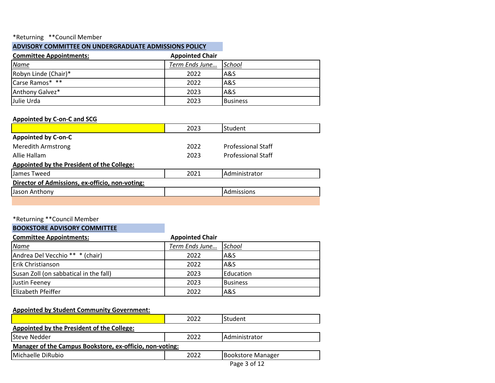### **ADVISORY COMMITTEE ON UNDERGRADUATE ADMISSIONS POLICY**

| <b>Committee Appointments:</b> | <b>Appointed Chair</b> |                 |
|--------------------------------|------------------------|-----------------|
| <u>Name</u>                    | Term Ends June         | School          |
| Robyn Linde (Chair)*           | 2022                   | A&S             |
| Carse Ramos* **                | 2022                   | A&S             |
| Anthony Galvez*                | 2023                   | A&S             |
| Julie Urda                     | 2023                   | <b>Business</b> |

### **Appointed by C-on-C and SCG**

|                                                 | 2023 | Student                   |
|-------------------------------------------------|------|---------------------------|
| <b>Appointed by C-on-C</b>                      |      |                           |
| <b>Meredith Armstrong</b>                       | 2022 | <b>Professional Staff</b> |
| Allie Hallam                                    | 2023 | <b>Professional Staff</b> |
| Appointed by the President of the College:      |      |                           |
| James Tweed                                     | 2021 | Administrator             |
| Director of Admissions, ex-officio, non-voting: |      |                           |
| Jason Anthony                                   |      | Admissions                |
|                                                 |      |                           |

### \*Returning \*\*Council Member

### **BOOKSTORE ADVISORY COMMITTEE**

| <b>Committee Appointments:</b>         | <b>Appointed Chair</b> |                 |
|----------------------------------------|------------------------|-----------------|
| <u>Name</u>                            | Term Ends June         | School          |
| Andrea Del Vecchio ** * (chair)        | 2022                   | <b>A&amp;S</b>  |
| <b>Erik Christianson</b>               | 2022                   | A&S             |
| Susan Zoll (on sabbatical in the fall) | 2023                   | Education       |
| Justin Feeney                          | 2023                   | <b>Business</b> |
| <b>Elizabeth Pfeiffer</b>              | 2022                   | A&S             |

### **Appointed by Student Community Government:**

|                                                          | 2022 | Student           |
|----------------------------------------------------------|------|-------------------|
| Appointed by the President of the College:               |      |                   |
| <b>Steve Nedder</b>                                      | 2022 | Administrator     |
| Manager of the Campus Bookstore, ex-officio, non-voting: |      |                   |
| Michaelle DiRubio                                        | 2022 | Bookstore Manager |
|                                                          |      | Page 3 of 12      |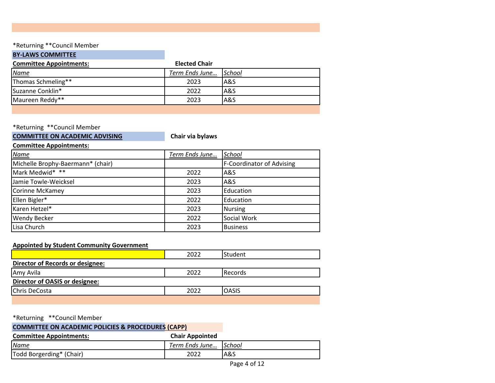### **BY-LAWS COMMITTEE**

| <b>Committee Appointments:</b> | <b>Elected Chair</b>  |      |
|--------------------------------|-----------------------|------|
| <b>Name</b>                    | Term Ends June School |      |
| Thomas Schmeling**             | 2023                  | IA&S |
| Suzanne Conklin*               | 2022                  | IA&S |
| Maureen Reddy**                | 2023                  | A&S  |
|                                |                       |      |

\*Returning \*\*Council Member

## **COMMITTEE ON ACADEMIC ADVISING COMMITTEE ON ACADEMIC ADVISING**

**Committee Appointments:**

| <b>Name</b>                       | Term Ends June | School                    |
|-----------------------------------|----------------|---------------------------|
| Michelle Brophy-Baermann* (chair) |                | F-Coordinator of Advising |
| Mark Medwid* **                   | 2022           | IA&S                      |
| Jamie Towle-Weicksel              | 2023           | A&S                       |
| Corinne McKamey                   | 2023           | Education                 |
| Ellen Bigler*                     | 2022           | Education                 |
| Karen Hetzel*                     | 2023           | <b>Nursing</b>            |
| <b>Wendy Becker</b>               | 2022           | Social Work               |
| Lisa Church                       | 2023           | <b>Business</b>           |

### **Appointed by Student Community Government**

|                                         | 2022 | <b>Student</b>   |
|-----------------------------------------|------|------------------|
| <b>Director of Records or designee:</b> |      |                  |
| Amy Avila                               | 2022 | <b>I</b> Records |
| Director of OASIS or designee:          |      |                  |
| Chris DeCosta                           | 2022 | <b>OASIS</b>     |
|                                         |      |                  |

\*Returning \*\*Council Member

| <b>COMMITTEE ON ACADEMIC POLICIES &amp; PROCEDURES (CAPP)</b> |                       |     |
|---------------------------------------------------------------|-----------------------|-----|
| <b>Committee Appointments:</b>                                |                       |     |
| <b>Name</b>                                                   | Term Ends June School |     |
| Todd Borgerding* (Chair)                                      | 2022                  | A&S |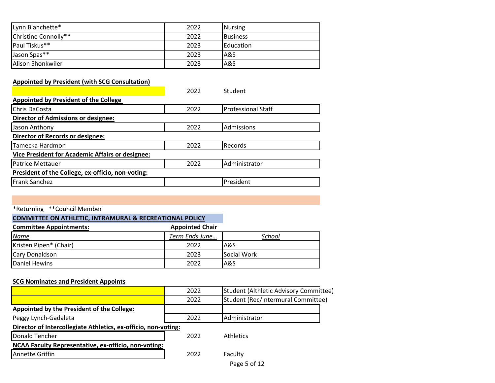| Lynn Blanchette*     | 2022 | Nursing          |
|----------------------|------|------------------|
| Christine Connolly** | 2022 | <b>Business</b>  |
| Paul Tiskus**        | 2023 | <b>Education</b> |
| Jason Spas**         | 2023 | A&S              |
| Alison Shonkwiler    | 2023 | A&S              |

## **Appointed by President (with SCG Consultation)**

|                                                         | 2022 | Student                   |  |
|---------------------------------------------------------|------|---------------------------|--|
| <b>Appointed by President of the College</b>            |      |                           |  |
| Chris DaCosta                                           | 2022 | <b>Professional Staff</b> |  |
| <b>Director of Admissions or designee:</b>              |      |                           |  |
| Jason Anthony                                           | 2022 | Admissions                |  |
| <b>Director of Records or designee:</b>                 |      |                           |  |
| Tamecka Hardmon                                         | 2022 | <b>Records</b>            |  |
| <b>Vice President for Academic Affairs or designee:</b> |      |                           |  |
| <b>Patrice Mettauer</b>                                 | 2022 | Administrator             |  |
| President of the College, ex-officio, non-voting:       |      |                           |  |
| Frank Sanchez                                           |      | President                 |  |

## \*Returning \*\*Council Member

|  | <b>COMMITTEE ON ATHLETIC, INTRAMURAL &amp; RECREATIONAL POLICY</b> |  |
|--|--------------------------------------------------------------------|--|
|  |                                                                    |  |

| <b>Committee Appointments:</b> | <b>Appointed Chair</b> |             |
|--------------------------------|------------------------|-------------|
| <u>Name</u>                    | Term Ends June         | School      |
| Kristen Pipen* (Chair)         | 2022                   | A&S         |
| Cary Donaldson                 | 2023                   | Social Work |
| Daniel Hewins                  | 2022                   | A&S         |

## **SCG Nominates and President Appoints**

|                                                                | 2022 | Student (Althletic Advisory Committee) |
|----------------------------------------------------------------|------|----------------------------------------|
|                                                                | 2022 | Student (Rec/Intermural Committee)     |
| Appointed by the President of the College:                     |      |                                        |
| Peggy Lynch-Gadaleta                                           | 2022 | Administrator                          |
| Director of Intercollegiate Athletics, ex-officio, non-voting: |      |                                        |
| Donald Tencher                                                 | 2022 | <b>Athletics</b>                       |
| NCAA Faculty Representative, ex-officio, non-voting:           |      |                                        |
| Annette Griffin                                                | 2022 | Faculty                                |
|                                                                |      | _______                                |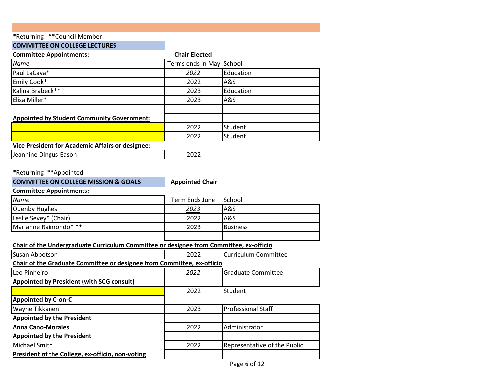## **COMMITTEE ON COLLEGE LECTURES**

| <b>Committee Appointments:</b>                                                         | <b>Chair Elected</b>     |                              |
|----------------------------------------------------------------------------------------|--------------------------|------------------------------|
| Name                                                                                   | Terms ends in May School |                              |
| Paul LaCava*                                                                           | 2022                     | Education                    |
| Emily Cook*                                                                            | 2022                     | A&S                          |
| Kalina Brabeck**                                                                       | 2023                     | Education                    |
| Elisa Miller*                                                                          | 2023                     | A&S                          |
|                                                                                        |                          |                              |
| <b>Appointed by Student Community Government:</b>                                      |                          |                              |
|                                                                                        | 2022                     | Student                      |
|                                                                                        | 2022                     | Student                      |
| Vice President for Academic Affairs or designee:                                       |                          |                              |
| Jeannine Dingus-Eason                                                                  | 2022                     |                              |
|                                                                                        |                          |                              |
| *Returning **Appointed                                                                 |                          |                              |
| <b>COMMITTEE ON COLLEGE MISSION &amp; GOALS</b>                                        | <b>Appointed Chair</b>   |                              |
| <b>Committee Appointments:</b>                                                         |                          |                              |
| Name                                                                                   | Term Ends June           | School                       |
| <b>Quenby Hughes</b>                                                                   | 2023                     | A&S                          |
| Leslie Sevey* (Chair)                                                                  | 2022                     | <b>A&amp;S</b>               |
| Marianne Raimondo* **                                                                  | 2023                     | <b>Business</b>              |
|                                                                                        |                          |                              |
| Chair of the Undergraduate Curriculum Committee or designee from Committee, ex-officio |                          |                              |
| Susan Abbotson                                                                         | 2022                     | <b>Curriculum Committee</b>  |
| Chair of the Graduate Committee or designee from Committee, ex-officio                 |                          |                              |
| Leo Pinheiro                                                                           | 2022                     | <b>Graduate Committee</b>    |
| <b>Appointed by President (with SCG consult)</b>                                       |                          |                              |
|                                                                                        | 2022                     | Student                      |
| <b>Appointed by C-on-C</b>                                                             |                          |                              |
| Wayne Tikkanen                                                                         | 2023                     | <b>Professional Staff</b>    |
| <b>Appointed by the President</b>                                                      |                          |                              |
| <b>Anna Cano-Morales</b>                                                               | 2022                     | Administrator                |
| <b>Appointed by the President</b>                                                      |                          |                              |
| Michael Smith                                                                          | 2022                     | Representative of the Public |
| President of the College, ex-officio, non-voting                                       |                          |                              |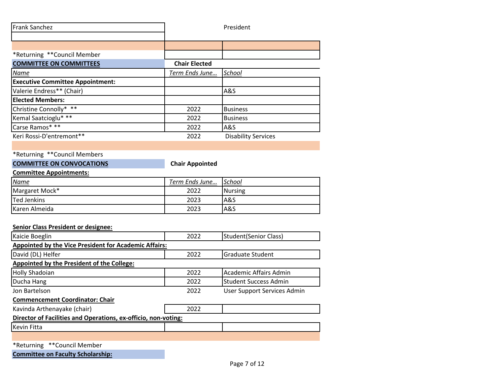| <b>Frank Sanchez</b>                    |                      | President                  |
|-----------------------------------------|----------------------|----------------------------|
|                                         |                      |                            |
| *Returning **Council Member             |                      |                            |
| <b>COMMITTEE ON COMMITTEES</b>          | <b>Chair Elected</b> |                            |
| <u>Name</u>                             | Term Ends June       | School                     |
| <b>Executive Committee Appointment:</b> |                      |                            |
| Valerie Endress** (Chair)               |                      | A&S                        |
| <b>Elected Members:</b>                 |                      |                            |
| Christine Connolly* **                  | 2022                 | <b>Business</b>            |
| Kemal Saatcioglu* **                    | 2022                 | <b>Business</b>            |
| Carse Ramos* **                         | 2022                 | A&S                        |
| Keri Rossi-D'entremont**                | 2022                 | <b>Disability Services</b> |

### **COMMITTEE ON CONVOCATIONS Chair Appointed**

### **Committee Appointments:**

| <u>Name</u>        | Term Ends June | School         |
|--------------------|----------------|----------------|
| Margaret Mock*     | 2022           | Nursing        |
| <b>Ted Jenkins</b> | 2023           | IA&S           |
| Karen Almeida      | 2023           | <b>A&amp;S</b> |

### **Senior Class President or designee:**

| Kaicie Boeglin                                                 | 2022 | Student (Senior Class)       |  |  |
|----------------------------------------------------------------|------|------------------------------|--|--|
| Appointed by the Vice President for Academic Affairs:          |      |                              |  |  |
| David (DL) Helfer                                              | 2022 | <b>Graduate Student</b>      |  |  |
| Appointed by the President of the College:                     |      |                              |  |  |
| <b>Holly Shadoian</b>                                          | 2022 | Academic Affairs Admin       |  |  |
| Ducha Hang                                                     | 2022 | <b>Student Success Admin</b> |  |  |
| Jon Bartelson                                                  | 2022 | User Support Services Admin  |  |  |
| <b>Commencement Coordinator: Chair</b>                         |      |                              |  |  |
| Kavinda Arthenayake (chair)                                    | 2022 |                              |  |  |
| Director of Facilities and Operations, ex-officio, non-voting: |      |                              |  |  |
| <b>Kevin Fitta</b>                                             |      |                              |  |  |
|                                                                |      |                              |  |  |
| *Returning **Council Member                                    |      |                              |  |  |

**Committee on Faculty Scholarship:**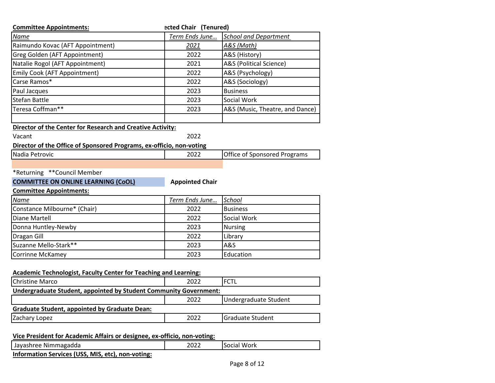| <b>Committee Appointments:</b>                                              | ected Chair (Tenured)  |                                     |
|-----------------------------------------------------------------------------|------------------------|-------------------------------------|
| Name                                                                        | Term Ends June         | <b>School and Department</b>        |
| Raimundo Kovac (AFT Appointment)                                            | 2021                   | A&S (Math)                          |
| Greg Golden (AFT Appointment)                                               | 2022                   | A&S (History)                       |
| Natalie Rogol (AFT Appointment)                                             | 2021                   | A&S (Political Science)             |
| Emily Cook (AFT Appointment)                                                | 2022                   | A&S (Psychology)                    |
| Carse Ramos*                                                                | 2022                   | A&S (Sociology)                     |
| Paul Jacques                                                                | 2023                   | <b>Business</b>                     |
| <b>Stefan Battle</b>                                                        | 2023                   | Social Work                         |
| Teresa Coffman**                                                            | 2023                   | A&S (Music, Theatre, and Dance)     |
| <b>Director of the Center for Research and Creative Activity:</b><br>Vacant | 2022                   |                                     |
| Director of the Office of Sponsored Programs, ex-officio, non-voting        |                        |                                     |
| Nadia Petrovic                                                              | 2022                   | <b>Office of Sponsored Programs</b> |
|                                                                             |                        |                                     |
| *Returning ** Council Member                                                |                        |                                     |
| <b>COMMITTEE ON ONLINE LEARNING (CoOL)</b>                                  | <b>Appointed Chair</b> |                                     |
| <b>Committee Appointments:</b>                                              |                        |                                     |
| Name                                                                        | Term Ends June         | School                              |
| Constance Milbourne* (Chair)                                                | 2022                   | <b>Business</b>                     |
| <b>Diane Martell</b>                                                        | 2022                   | Social Work                         |
| Donna Huntley-Newby                                                         | 2023                   | <b>Nursing</b>                      |
| <b>Dragan Gill</b>                                                          | 2022                   | Library                             |
| Suzanne Mello-Stark**                                                       | 2023                   | A&S                                 |
| <b>Corrinne McKamey</b>                                                     | 2023                   | Education                           |
| <b>Academic Technologist, Faculty Center for Teaching and Learning:</b>     |                        |                                     |
| <b>Christine Marco</b>                                                      | 2022                   | <b>FCTL</b>                         |
| Undergraduate Student, appointed by Student Community Government:           |                        |                                     |
|                                                                             | 2022                   | Undergraduate Student               |
| <b>Graduate Student, appointed by Graduate Dean:</b>                        |                        |                                     |
| Zachary Lopez                                                               | 2022                   | <b>Graduate Student</b>             |
|                                                                             |                        |                                     |
| Vice President for Academic Affairs or designee, ex-officio, non-voting:    |                        |                                     |
| Jayashree Nimmagadda                                                        | 2022                   | Social Work                         |

**Information Services (USS, MIS, etc), non-voting:**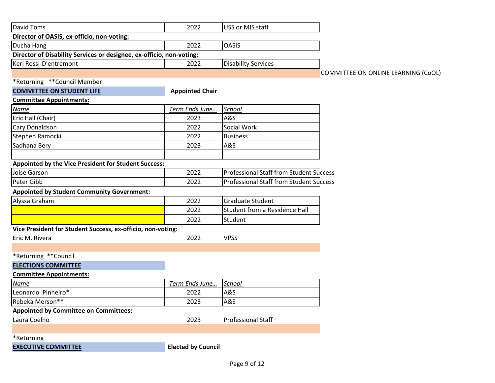| <b>David Toms</b>                                                    | 2022                      | USS or MIS staff                               |                                     |
|----------------------------------------------------------------------|---------------------------|------------------------------------------------|-------------------------------------|
| Director of OASIS, ex-officio, non-voting:                           |                           |                                                |                                     |
| Ducha Hang                                                           | 2022                      | <b>OASIS</b>                                   |                                     |
| Director of Disability Services or designee, ex-officio, non-voting: |                           |                                                |                                     |
| Keri Rossi-D'entremont                                               | 2022                      | <b>Disability Services</b>                     |                                     |
|                                                                      |                           |                                                | COMMITTEE ON ONLINE LEARNING (CoOL) |
| *Returning **Council Member                                          |                           |                                                |                                     |
| <b>COMMITTEE ON STUDENT LIFE</b>                                     | <b>Appointed Chair</b>    |                                                |                                     |
| <b>Committee Appointments:</b>                                       |                           |                                                |                                     |
| Name                                                                 | Term Ends June            | School                                         |                                     |
| Eric Hall (Chair)                                                    | 2023                      | A&S                                            |                                     |
| Cary Donaldson                                                       | 2022                      | Social Work                                    |                                     |
| Stephen Ramocki                                                      | 2022                      | <b>Business</b>                                |                                     |
| Sadhana Bery                                                         | 2023                      | A&S                                            |                                     |
|                                                                      |                           |                                                |                                     |
| Appointed by the Vice President for Student Success:                 |                           |                                                |                                     |
| Joise Garson                                                         | 2022                      | <b>Professional Staff from Student Success</b> |                                     |
| Peter Gibb                                                           | 2022                      | <b>Professional Staff from Student Success</b> |                                     |
| <b>Appointed by Student Community Government:</b>                    |                           |                                                |                                     |
| Alyssa Graham                                                        | 2022                      | Graduate Student                               |                                     |
|                                                                      | 2022                      | <b>Student from a Residence Hall</b>           |                                     |
|                                                                      | 2022                      | Student                                        |                                     |
| Vice President for Student Success, ex-officio, non-voting:          |                           |                                                |                                     |
| Eric M. Rivera                                                       | 2022                      | <b>VPSS</b>                                    |                                     |
|                                                                      |                           |                                                |                                     |
| *Returning **Council                                                 |                           |                                                |                                     |
| <b>ELECTIONS COMMITTEE</b>                                           |                           |                                                |                                     |
| <b>Committee Appointments:</b>                                       |                           |                                                |                                     |
| Name                                                                 | Term Ends June            | School                                         |                                     |
| Leonardo Pinheiro*                                                   | 2022                      | A&S                                            |                                     |
| Rebeka Merson**                                                      | 2023                      | A&S                                            |                                     |
| <b>Appointed by Committee on Committees:</b>                         |                           |                                                |                                     |
| Laura Coelho                                                         | 2023                      | <b>Professional Staff</b>                      |                                     |
|                                                                      |                           |                                                |                                     |
| *Returning                                                           |                           |                                                |                                     |
| <b>EXECUTIVE COMMITTEE</b>                                           | <b>Elected by Council</b> |                                                |                                     |
|                                                                      |                           |                                                |                                     |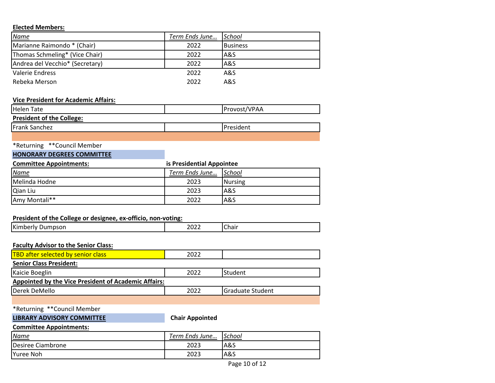### **Elected Members:**

| <u>Name</u>                     | Term Ends June | School          |
|---------------------------------|----------------|-----------------|
| Marianne Raimondo * (Chair)     | 2022           | <b>Business</b> |
| Thomas Schmeling* (Vice Chair)  | 2022           | la&S            |
| Andrea del Vecchio* (Secretary) | 2022           | A&S             |
| Valerie Endress                 | 2022           | A&S             |
| Rebeka Merson                   | 2022           | A&S             |

### **Vice President for Academic Affairs:**

| <b>Helen Tate</b>                | Provost/VPAA      |
|----------------------------------|-------------------|
| <b>President of the College:</b> |                   |
| <b>Frank Sanchez</b>             | <b>IPresident</b> |
|                                  |                   |

## \*Returning \*\*Council Member

## **HONORARY DEGREES COMMITTEE**

| <b>Committee Appointments:</b> | is Presidential Appointee |         |
|--------------------------------|---------------------------|---------|
| <u>Name</u>                    | Term Ends June School     |         |
| Melinda Hodne                  | 2023                      | Nursing |
| Qian Liu                       | 2023                      | lA&S    |
| Amy Montali**                  | 2022                      | A&S     |

### **President of the College or designee, ex-officio, non-voting:**

| <b>I</b> Kin<br>--<br>.<br>' '<br>спан<br>LULL<br>$ -$<br>______ |
|------------------------------------------------------------------|
|------------------------------------------------------------------|

### **Faculty Advisor to the Senior Class:**

| <b>TBD after selected by senior class</b>                   | 2022 |                  |  |
|-------------------------------------------------------------|------|------------------|--|
| <b>Senior Class President:</b>                              |      |                  |  |
| Kaicie Boeglin                                              | 2022 | Student          |  |
| <b>Appointed by the Vice President of Academic Affairs:</b> |      |                  |  |
| Derek DeMello                                               | 2022 | Graduate Student |  |
|                                                             |      |                  |  |

### \*Returning \*\*Council Member

### **LIBRARY ADVISORY COMMITTEE Chair Appointed**

### **Committee Appointments:**

| <u>Name</u>       | Term Ends June… | School |
|-------------------|-----------------|--------|
| Desiree Ciambrone | 2023            | A&S    |
| <b>Yuree Noh</b>  | 2023            | A&S    |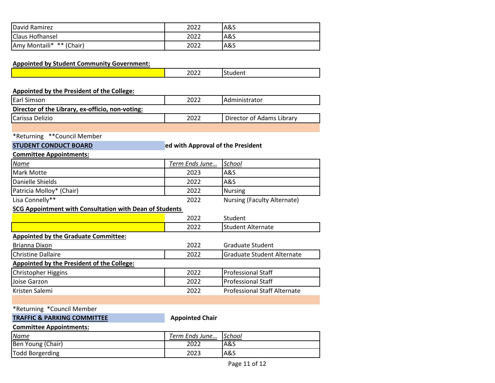| David Ramirez            | 2022 | A&S |
|--------------------------|------|-----|
| <b>Claus Hofhansel</b>   | 2022 | A&S |
| Amy Montaili* ** (Chair) | 2022 | A&S |

| <b>Appointed by Student Community Government:</b> |      |                 |
|---------------------------------------------------|------|-----------------|
|                                                   | 2022 | <b>IStudent</b> |
|                                                   |      |                 |

| <b>Appointed by the President of the College:</b>                 |                       |                           |  |
|-------------------------------------------------------------------|-----------------------|---------------------------|--|
| Earl Simson                                                       | 2022<br>Administrator |                           |  |
| Director of the Library, ex-officio, non-voting:                  |                       |                           |  |
| Carissa Delizio                                                   | 2022                  | Director of Adams Library |  |
|                                                                   |                       |                           |  |
| *Returning **Council Member                                       |                       |                           |  |
| <b>STUDENT CONDUCT BOARD</b><br>ed with Approval of the President |                       |                           |  |
| <b>Committee Appointments:</b>                                    |                       |                           |  |
| Name                                                              | Term Ends June        | School                    |  |
| Mark Motte                                                        | 2023                  | A&S                       |  |
| Danielle Shields                                                  | A&S<br>2022           |                           |  |
|                                                                   |                       |                           |  |

Lisa Connelly\*\* 2022 Nursing (Faculty Alternate)

### **SCG Appointment with Consultation with Dean of Students**

|                                             | 2022 | Student                             |
|---------------------------------------------|------|-------------------------------------|
|                                             | 2022 | <b>Student Alternate</b>            |
| <b>Appointed by the Graduate Committee:</b> |      |                                     |
| Brianna Dixon                               | 2022 | Graduate Student                    |
| <b>Christine Dallaire</b>                   | 2022 | <b>Graduate Student Alternate</b>   |
| Appointed by the President of the College:  |      |                                     |
| Christopher Higgins                         | 2022 | <b>Professional Staff</b>           |
| Joise Garzon                                | 2022 | <b>Professional Staff</b>           |
| Kristen Salemi                              | 2022 | <b>Professional Staff Alternate</b> |
|                                             |      |                                     |

## \*Returning \*Council Member

**TRAFFIC & PARKING COMMITTEE Appointed Chair** 

### **Committee Appointments:**

| <u>Name</u>       | Term Ends June | School |
|-------------------|----------------|--------|
| Ben Young (Chair) | 2022           | A&S    |
| Todd Borgerding   | 2023           | A&S    |